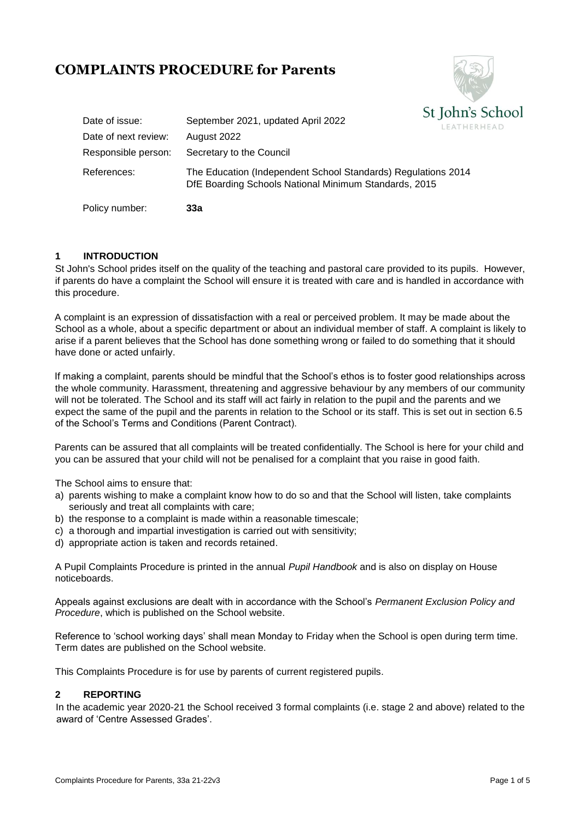# **COMPLAINTS PROCEDURE for Parents**



| Policy number:       | 33а                                                                                                                    |                                       |
|----------------------|------------------------------------------------------------------------------------------------------------------------|---------------------------------------|
| References:          | The Education (Independent School Standards) Regulations 2014<br>DfE Boarding Schools National Minimum Standards, 2015 |                                       |
| Responsible person:  | Secretary to the Council                                                                                               |                                       |
| Date of next review: | August 2022                                                                                                            |                                       |
| Date of issue:       | September 2021, updated April 2022                                                                                     | $\sigma$ juilly $\sigma$<br>LEATHERHI |

## **1 INTRODUCTION**

St John's School prides itself on the quality of the teaching and pastoral care provided to its pupils. However, if parents do have a complaint the School will ensure it is treated with care and is handled in accordance with this procedure.

A complaint is an expression of dissatisfaction with a real or perceived problem. It may be made about the School as a whole, about a specific department or about an individual member of staff. A complaint is likely to arise if a parent believes that the School has done something wrong or failed to do something that it should have done or acted unfairly.

If making a complaint, parents should be mindful that the School's ethos is to foster good relationships across the whole community. Harassment, threatening and aggressive behaviour by any members of our community will not be tolerated. The School and its staff will act fairly in relation to the pupil and the parents and we expect the same of the pupil and the parents in relation to the School or its staff. This is set out in section 6.5 of the School's Terms and Conditions (Parent Contract).

Parents can be assured that all complaints will be treated confidentially. The School is here for your child and you can be assured that your child will not be penalised for a complaint that you raise in good faith.

The School aims to ensure that:

- a) parents wishing to make a complaint know how to do so and that the School will listen, take complaints seriously and treat all complaints with care;
- b) the response to a complaint is made within a reasonable timescale;
- c) a thorough and impartial investigation is carried out with sensitivity;
- d) appropriate action is taken and records retained.

A Pupil Complaints Procedure is printed in the annual *Pupil Handbook* and is also on display on House noticeboards.

Appeals against exclusions are dealt with in accordance with the School's *Permanent Exclusion Policy and Procedure*, which is published on the School website.

Reference to 'school working days' shall mean Monday to Friday when the School is open during term time. Term dates are published on the School website.

This Complaints Procedure is for use by parents of current registered pupils.

## **2 REPORTING**

In the academic year 2020-21 the School received 3 formal complaints (i.e. stage 2 and above) related to the award of 'Centre Assessed Grades'.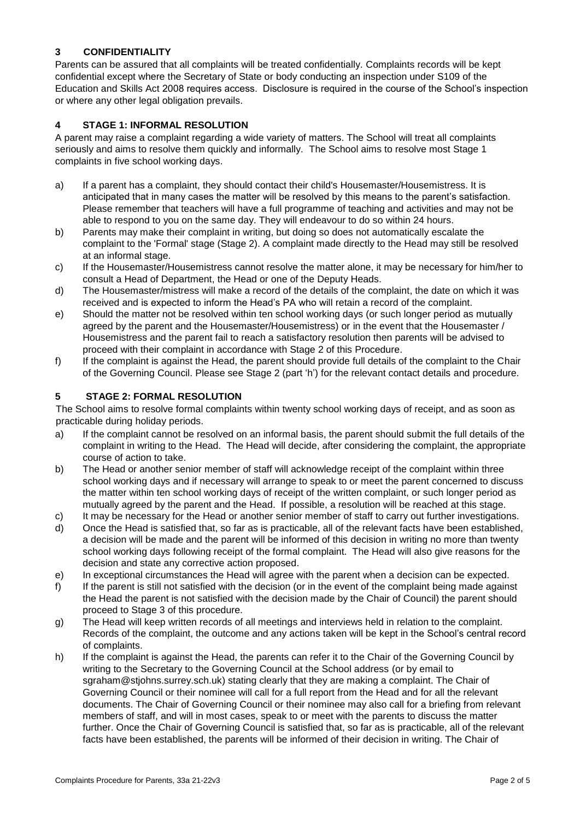## **3 CONFIDENTIALITY**

Parents can be assured that all complaints will be treated confidentially. Complaints records will be kept confidential except where the Secretary of State or body conducting an inspection under S109 of the Education and Skills Act 2008 requires access. Disclosure is required in the course of the School's inspection or where any other legal obligation prevails.

## **4 STAGE 1: INFORMAL RESOLUTION**

A parent may raise a complaint regarding a wide variety of matters. The School will treat all complaints seriously and aims to resolve them quickly and informally. The School aims to resolve most Stage 1 complaints in five school working days.

- a) If a parent has a complaint, they should contact their child's Housemaster/Housemistress. It is anticipated that in many cases the matter will be resolved by this means to the parent's satisfaction. Please remember that teachers will have a full programme of teaching and activities and may not be able to respond to you on the same day. They will endeavour to do so within 24 hours.
- b) Parents may make their complaint in writing, but doing so does not automatically escalate the complaint to the 'Formal' stage (Stage 2). A complaint made directly to the Head may still be resolved at an informal stage.
- c) If the Housemaster/Housemistress cannot resolve the matter alone, it may be necessary for him/her to consult a Head of Department, the Head or one of the Deputy Heads.
- d) The Housemaster/mistress will make a record of the details of the complaint, the date on which it was received and is expected to inform the Head's PA who will retain a record of the complaint.
- e) Should the matter not be resolved within ten school working days (or such longer period as mutually agreed by the parent and the Housemaster/Housemistress) or in the event that the Housemaster / Housemistress and the parent fail to reach a satisfactory resolution then parents will be advised to proceed with their complaint in accordance with Stage 2 of this Procedure.
- f) If the complaint is against the Head, the parent should provide full details of the complaint to the Chair of the Governing Council. Please see Stage 2 (part 'h') for the relevant contact details and procedure.

## **5 STAGE 2: FORMAL RESOLUTION**

The School aims to resolve formal complaints within twenty school working days of receipt, and as soon as practicable during holiday periods.

- a) If the complaint cannot be resolved on an informal basis, the parent should submit the full details of the complaint in writing to the Head. The Head will decide, after considering the complaint, the appropriate course of action to take.
- b) The Head or another senior member of staff will acknowledge receipt of the complaint within three school working days and if necessary will arrange to speak to or meet the parent concerned to discuss the matter within ten school working days of receipt of the written complaint, or such longer period as mutually agreed by the parent and the Head. If possible, a resolution will be reached at this stage.
- c) It may be necessary for the Head or another senior member of staff to carry out further investigations.
- d) Once the Head is satisfied that, so far as is practicable, all of the relevant facts have been established, a decision will be made and the parent will be informed of this decision in writing no more than twenty school working days following receipt of the formal complaint. The Head will also give reasons for the decision and state any corrective action proposed.
- e) In exceptional circumstances the Head will agree with the parent when a decision can be expected.
- f) If the parent is still not satisfied with the decision (or in the event of the complaint being made against the Head the parent is not satisfied with the decision made by the Chair of Council) the parent should proceed to Stage 3 of this procedure.
- g) The Head will keep written records of all meetings and interviews held in relation to the complaint. Records of the complaint, the outcome and any actions taken will be kept in the School's central record of complaints.
- h) If the complaint is against the Head, the parents can refer it to the Chair of the Governing Council by writing to the Secretary to the Governing Council at the School address (or by email to sgraham@stjohns.surrey.sch.uk) stating clearly that they are making a complaint. The Chair of Governing Council or their nominee will call for a full report from the Head and for all the relevant documents. The Chair of Governing Council or their nominee may also call for a briefing from relevant members of staff, and will in most cases, speak to or meet with the parents to discuss the matter further. Once the Chair of Governing Council is satisfied that, so far as is practicable, all of the relevant facts have been established, the parents will be informed of their decision in writing. The Chair of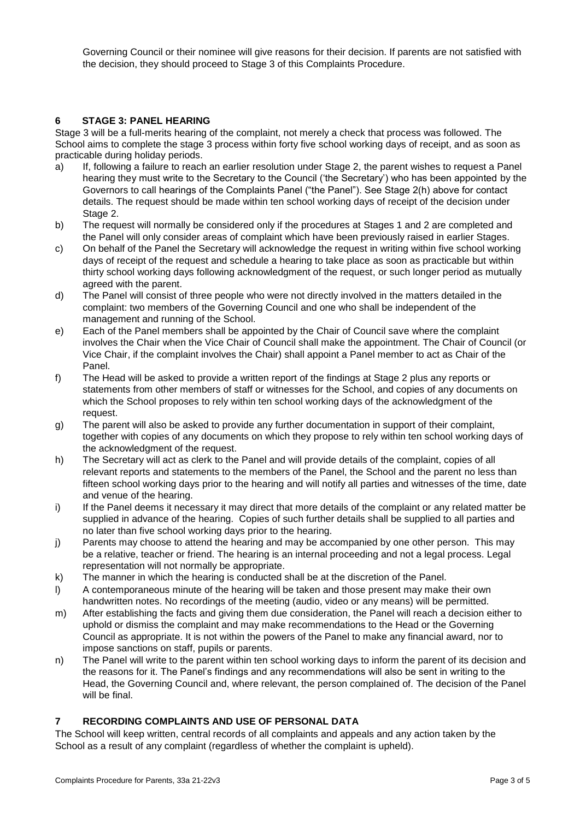Governing Council or their nominee will give reasons for their decision. If parents are not satisfied with the decision, they should proceed to Stage 3 of this Complaints Procedure.

## **6 STAGE 3: PANEL HEARING**

Stage 3 will be a full-merits hearing of the complaint, not merely a check that process was followed. The School aims to complete the stage 3 process within forty five school working days of receipt, and as soon as practicable during holiday periods.

- a) If, following a failure to reach an earlier resolution under Stage 2, the parent wishes to request a Panel hearing they must write to the Secretary to the Council ('the Secretary') who has been appointed by the Governors to call hearings of the Complaints Panel ("the Panel"). See Stage 2(h) above for contact details. The request should be made within ten school working days of receipt of the decision under Stage 2.
- b) The request will normally be considered only if the procedures at Stages 1 and 2 are completed and the Panel will only consider areas of complaint which have been previously raised in earlier Stages.
- c) On behalf of the Panel the Secretary will acknowledge the request in writing within five school working days of receipt of the request and schedule a hearing to take place as soon as practicable but within thirty school working days following acknowledgment of the request, or such longer period as mutually agreed with the parent.
- d) The Panel will consist of three people who were not directly involved in the matters detailed in the complaint: two members of the Governing Council and one who shall be independent of the management and running of the School.
- e) Each of the Panel members shall be appointed by the Chair of Council save where the complaint involves the Chair when the Vice Chair of Council shall make the appointment. The Chair of Council (or Vice Chair, if the complaint involves the Chair) shall appoint a Panel member to act as Chair of the Panel.
- f) The Head will be asked to provide a written report of the findings at Stage 2 plus any reports or statements from other members of staff or witnesses for the School, and copies of any documents on which the School proposes to rely within ten school working days of the acknowledgment of the request.
- g) The parent will also be asked to provide any further documentation in support of their complaint, together with copies of any documents on which they propose to rely within ten school working days of the acknowledgment of the request.
- h) The Secretary will act as clerk to the Panel and will provide details of the complaint, copies of all relevant reports and statements to the members of the Panel, the School and the parent no less than fifteen school working days prior to the hearing and will notify all parties and witnesses of the time, date and venue of the hearing.
- i) If the Panel deems it necessary it may direct that more details of the complaint or any related matter be supplied in advance of the hearing. Copies of such further details shall be supplied to all parties and no later than five school working days prior to the hearing.
- j) Parents may choose to attend the hearing and may be accompanied by one other person. This may be a relative, teacher or friend. The hearing is an internal proceeding and not a legal process. Legal representation will not normally be appropriate.
- k) The manner in which the hearing is conducted shall be at the discretion of the Panel.
- l) A contemporaneous minute of the hearing will be taken and those present may make their own handwritten notes. No recordings of the meeting (audio, video or any means) will be permitted.
- m) After establishing the facts and giving them due consideration, the Panel will reach a decision either to uphold or dismiss the complaint and may make recommendations to the Head or the Governing Council as appropriate. It is not within the powers of the Panel to make any financial award, nor to impose sanctions on staff, pupils or parents.
- n) The Panel will write to the parent within ten school working days to inform the parent of its decision and the reasons for it. The Panel's findings and any recommendations will also be sent in writing to the Head, the Governing Council and, where relevant, the person complained of. The decision of the Panel will be final.

## **7 RECORDING COMPLAINTS AND USE OF PERSONAL DATA**

The School will keep written, central records of all complaints and appeals and any action taken by the School as a result of any complaint (regardless of whether the complaint is upheld).